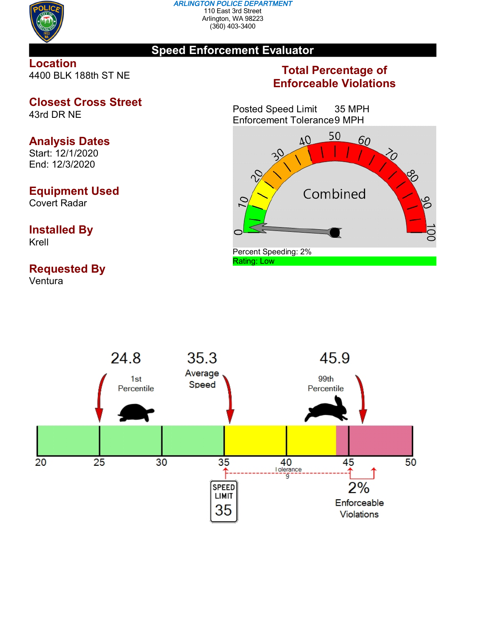

#### *ARLINGTON POLICE DEPARTMENT* 110 East 3rd Street Arlington, WA 98223 (360) 403-3400

## **Speed Enforcement Evaluator**

## **Location** 4400 BLK 188th ST NE

**Closest Cross Street** 43rd DR NE

# **Analysis Dates**

Start: 12/1/2020 End: 12/3/2020

## **Equipment Used**

Covert Radar

## **Installed By** Krell

# **Requested By**

Ventura

## **Total Percentage of Enforceable Violations**

Posted Speed Limit 35 MPH Enforcement Tolerance9 MPH